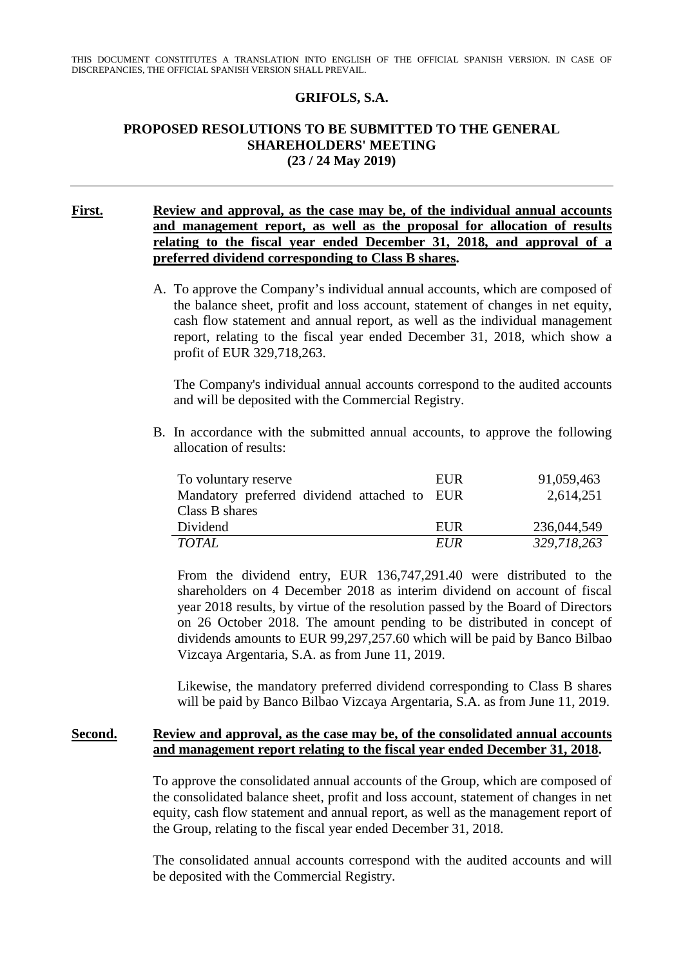### **GRIFOLS, S.A.**

### **PROPOSED RESOLUTIONS TO BE SUBMITTED TO THE GENERAL SHAREHOLDERS' MEETING (23 / 24 May 2019)**

### **First. Review and approval, as the case may be, of the individual annual accounts and management report, as well as the proposal for allocation of results relating to the fiscal year ended December 31, 2018, and approval of a preferred dividend corresponding to Class B shares.**

A. To approve the Company's individual annual accounts, which are composed of the balance sheet, profit and loss account, statement of changes in net equity, cash flow statement and annual report, as well as the individual management report, relating to the fiscal year ended December 31, 2018, which show a profit of EUR 329,718,263.

The Company's individual annual accounts correspond to the audited accounts and will be deposited with the Commercial Registry.

B. In accordance with the submitted annual accounts, to approve the following allocation of results:

| To voluntary reserve                         | EUR        | 91,059,463  |
|----------------------------------------------|------------|-------------|
| Mandatory preferred dividend attached to EUR |            | 2,614,251   |
| Class B shares                               |            |             |
| Dividend                                     | EUR        | 236,044,549 |
| TOTAL                                        | <i>EUR</i> | 329,718,263 |

From the dividend entry, EUR 136,747,291.40 were distributed to the shareholders on 4 December 2018 as interim dividend on account of fiscal year 2018 results, by virtue of the resolution passed by the Board of Directors on 26 October 2018. The amount pending to be distributed in concept of dividends amounts to EUR 99,297,257.60 which will be paid by Banco Bilbao Vizcaya Argentaria, S.A. as from June 11, 2019.

Likewise, the mandatory preferred dividend corresponding to Class B shares will be paid by Banco Bilbao Vizcaya Argentaria, S.A. as from June 11, 2019.

#### **Second. Review and approval, as the case may be, of the consolidated annual accounts and management report relating to the fiscal year ended December 31, 2018.**

To approve the consolidated annual accounts of the Group, which are composed of the consolidated balance sheet, profit and loss account, statement of changes in net equity, cash flow statement and annual report, as well as the management report of the Group, relating to the fiscal year ended December 31, 2018.

The consolidated annual accounts correspond with the audited accounts and will be deposited with the Commercial Registry.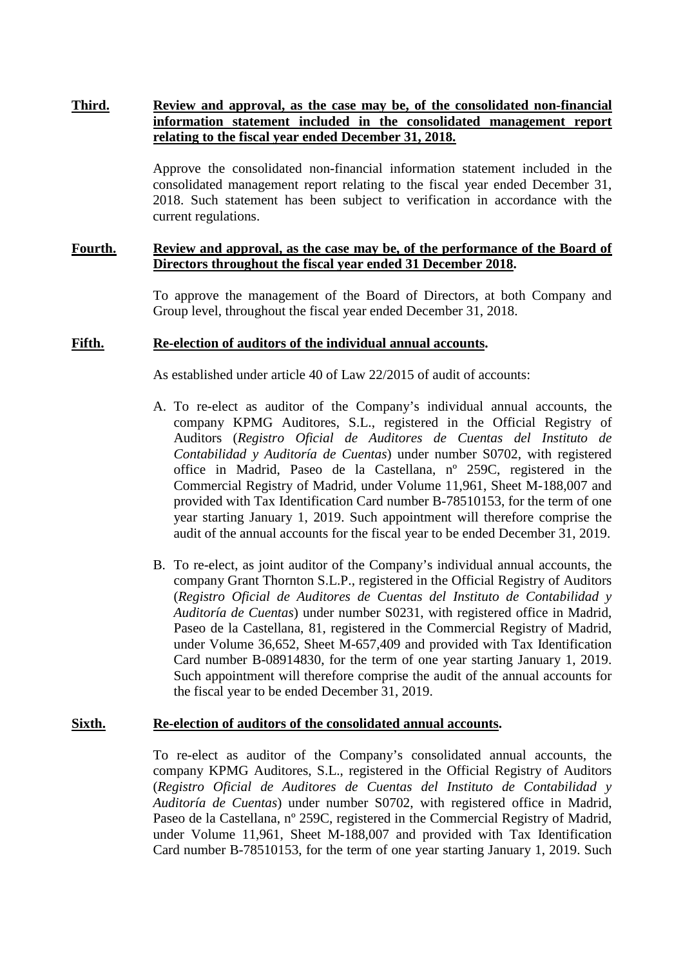# **Third. Review and approval, as the case may be, of the consolidated non-financial information statement included in the consolidated management report relating to the fiscal year ended December 31, 2018.**

Approve the consolidated non-financial information statement included in the consolidated management report relating to the fiscal year ended December 31, 2018. Such statement has been subject to verification in accordance with the current regulations.

#### **Fourth. Review and approval, as the case may be, of the performance of the Board of Directors throughout the fiscal year ended 31 December 2018.**

To approve the management of the Board of Directors, at both Company and Group level, throughout the fiscal year ended December 31, 2018.

#### **Fifth. Re-election of auditors of the individual annual accounts.**

As established under article 40 of Law 22/2015 of audit of accounts:

- A. To re-elect as auditor of the Company's individual annual accounts, the company KPMG Auditores, S.L., registered in the Official Registry of Auditors (*Registro Oficial de Auditores de Cuentas del Instituto de Contabilidad y Auditoría de Cuentas*) under number S0702, with registered office in Madrid, Paseo de la Castellana, nº 259C, registered in the Commercial Registry of Madrid, under Volume 11,961, Sheet M-188,007 and provided with Tax Identification Card number B-78510153, for the term of one year starting January 1, 2019. Such appointment will therefore comprise the audit of the annual accounts for the fiscal year to be ended December 31, 2019.
- B. To re-elect, as joint auditor of the Company's individual annual accounts, the company Grant Thornton S.L.P., registered in the Official Registry of Auditors (*Registro Oficial de Auditores de Cuentas del Instituto de Contabilidad y Auditoría de Cuentas*) under number S0231, with registered office in Madrid, Paseo de la Castellana, 81, registered in the Commercial Registry of Madrid, under Volume 36,652, Sheet M-657,409 and provided with Tax Identification Card number B-08914830, for the term of one year starting January 1, 2019. Such appointment will therefore comprise the audit of the annual accounts for the fiscal year to be ended December 31, 2019.

#### **Sixth. Re-election of auditors of the consolidated annual accounts.**

To re-elect as auditor of the Company's consolidated annual accounts, the company KPMG Auditores, S.L., registered in the Official Registry of Auditors (*Registro Oficial de Auditores de Cuentas del Instituto de Contabilidad y Auditoría de Cuentas*) under number S0702, with registered office in Madrid, Paseo de la Castellana, nº 259C, registered in the Commercial Registry of Madrid, under Volume 11,961, Sheet M-188,007 and provided with Tax Identification Card number B-78510153, for the term of one year starting January 1, 2019. Such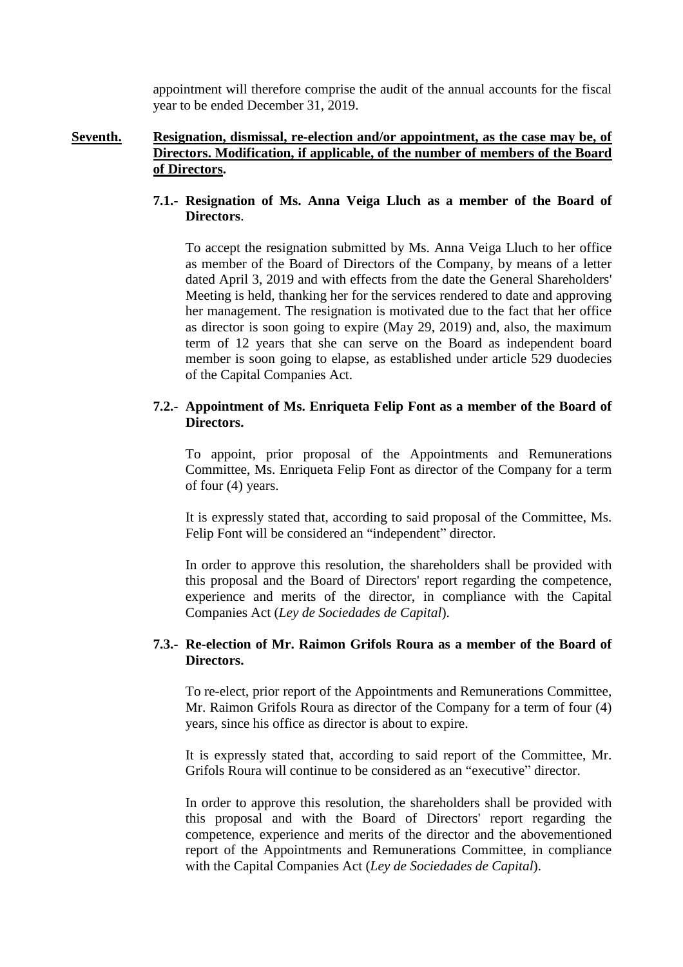appointment will therefore comprise the audit of the annual accounts for the fiscal year to be ended December 31, 2019.

### **Seventh. Resignation, dismissal, re-election and/or appointment, as the case may be, of Directors. Modification, if applicable, of the number of members of the Board of Directors.**

### **7.1.- Resignation of Ms. Anna Veiga Lluch as a member of the Board of Directors**.

To accept the resignation submitted by Ms. Anna Veiga Lluch to her office as member of the Board of Directors of the Company, by means of a letter dated April 3, 2019 and with effects from the date the General Shareholders' Meeting is held, thanking her for the services rendered to date and approving her management. The resignation is motivated due to the fact that her office as director is soon going to expire (May 29, 2019) and, also, the maximum term of 12 years that she can serve on the Board as independent board member is soon going to elapse, as established under article 529 duodecies of the Capital Companies Act.

# **7.2.- Appointment of Ms. Enriqueta Felip Font as a member of the Board of Directors.**

To appoint, prior proposal of the Appointments and Remunerations Committee, Ms. Enriqueta Felip Font as director of the Company for a term of four (4) years.

It is expressly stated that, according to said proposal of the Committee, Ms. Felip Font will be considered an "independent" director.

In order to approve this resolution, the shareholders shall be provided with this proposal and the Board of Directors' report regarding the competence, experience and merits of the director, in compliance with the Capital Companies Act (*Ley de Sociedades de Capital*).

# **7.3.- Re-election of Mr. Raimon Grifols Roura as a member of the Board of Directors.**

To re-elect, prior report of the Appointments and Remunerations Committee, Mr. Raimon Grifols Roura as director of the Company for a term of four (4) years, since his office as director is about to expire.

It is expressly stated that, according to said report of the Committee, Mr. Grifols Roura will continue to be considered as an "executive" director.

In order to approve this resolution, the shareholders shall be provided with this proposal and with the Board of Directors' report regarding the competence, experience and merits of the director and the abovementioned report of the Appointments and Remunerations Committee, in compliance with the Capital Companies Act (*Ley de Sociedades de Capital*).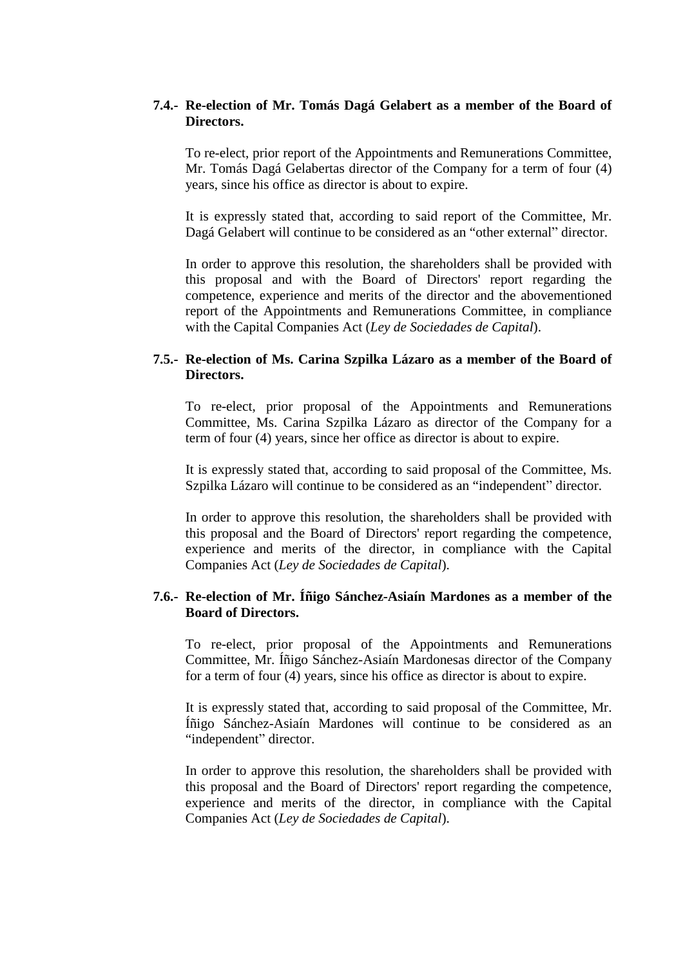### **7.4.- Re-election of Mr. Tomás Dagá Gelabert as a member of the Board of Directors.**

To re-elect, prior report of the Appointments and Remunerations Committee, Mr. Tomás Dagá Gelabertas director of the Company for a term of four (4) years, since his office as director is about to expire.

It is expressly stated that, according to said report of the Committee, Mr. Dagá Gelabert will continue to be considered as an "other external" director.

In order to approve this resolution, the shareholders shall be provided with this proposal and with the Board of Directors' report regarding the competence, experience and merits of the director and the abovementioned report of the Appointments and Remunerations Committee, in compliance with the Capital Companies Act (*Ley de Sociedades de Capital*).

# **7.5.- Re-election of Ms. Carina Szpilka Lázaro as a member of the Board of Directors.**

To re-elect, prior proposal of the Appointments and Remunerations Committee, Ms. Carina Szpilka Lázaro as director of the Company for a term of four (4) years, since her office as director is about to expire.

It is expressly stated that, according to said proposal of the Committee, Ms. Szpilka Lázaro will continue to be considered as an "independent" director.

In order to approve this resolution, the shareholders shall be provided with this proposal and the Board of Directors' report regarding the competence, experience and merits of the director, in compliance with the Capital Companies Act (*Ley de Sociedades de Capital*).

# **7.6.- Re-election of Mr. Íñigo Sánchez-Asiaín Mardones as a member of the Board of Directors.**

To re-elect, prior proposal of the Appointments and Remunerations Committee, Mr. Íñigo Sánchez-Asiaín Mardonesas director of the Company for a term of four (4) years, since his office as director is about to expire.

It is expressly stated that, according to said proposal of the Committee, Mr. Íñigo Sánchez-Asiaín Mardones will continue to be considered as an "independent" director.

In order to approve this resolution, the shareholders shall be provided with this proposal and the Board of Directors' report regarding the competence, experience and merits of the director, in compliance with the Capital Companies Act (*Ley de Sociedades de Capital*).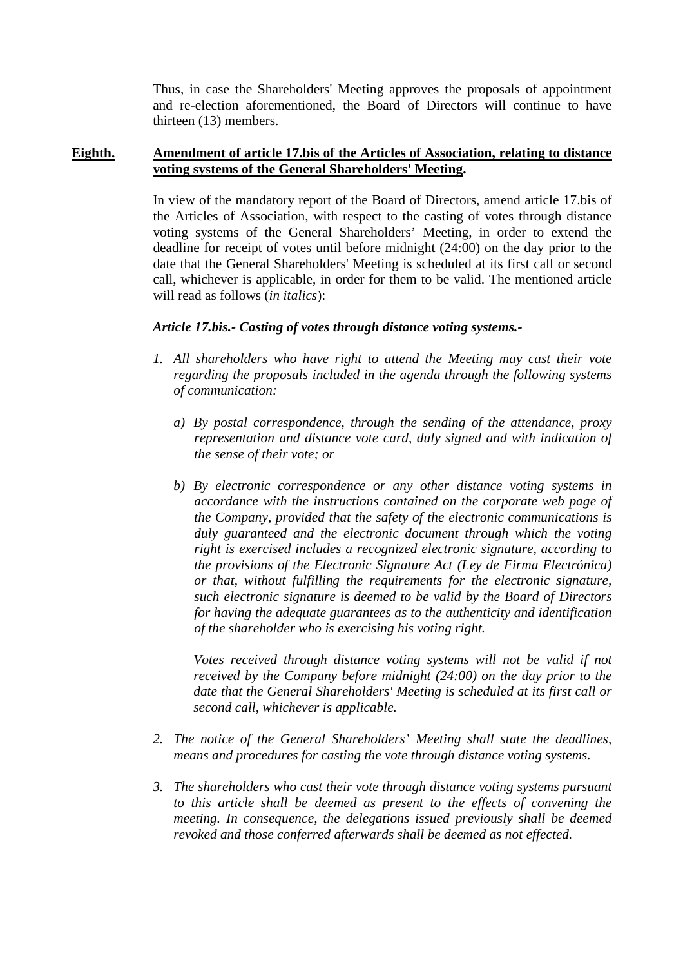Thus, in case the Shareholders' Meeting approves the proposals of appointment and re-election aforementioned, the Board of Directors will continue to have thirteen (13) members.

### **Eighth. Amendment of article 17.bis of the Articles of Association, relating to distance voting systems of the General Shareholders' Meeting.**

In view of the mandatory report of the Board of Directors, amend article 17.bis of the Articles of Association, with respect to the casting of votes through distance voting systems of the General Shareholders' Meeting, in order to extend the deadline for receipt of votes until before midnight (24:00) on the day prior to the date that the General Shareholders' Meeting is scheduled at its first call or second call, whichever is applicable, in order for them to be valid. The mentioned article will read as follows (*in italics*):

# *Article 17.bis.- Casting of votes through distance voting systems.-*

- *1. All shareholders who have right to attend the Meeting may cast their vote regarding the proposals included in the agenda through the following systems of communication:* 
	- *a) By postal correspondence, through the sending of the attendance, proxy representation and distance vote card, duly signed and with indication of the sense of their vote; or*
	- *b) By electronic correspondence or any other distance voting systems in accordance with the instructions contained on the corporate web page of the Company, provided that the safety of the electronic communications is duly guaranteed and the electronic document through which the voting right is exercised includes a recognized electronic signature, according to the provisions of the Electronic Signature Act (Ley de Firma Electrónica) or that, without fulfilling the requirements for the electronic signature, such electronic signature is deemed to be valid by the Board of Directors for having the adequate guarantees as to the authenticity and identification of the shareholder who is exercising his voting right.*

*Votes received through distance voting systems will not be valid if not received by the Company before midnight (24:00) on the day prior to the date that the General Shareholders' Meeting is scheduled at its first call or second call, whichever is applicable.* 

- *2. The notice of the General Shareholders' Meeting shall state the deadlines, means and procedures for casting the vote through distance voting systems.*
- *3. The shareholders who cast their vote through distance voting systems pursuant to this article shall be deemed as present to the effects of convening the meeting. In consequence, the delegations issued previously shall be deemed revoked and those conferred afterwards shall be deemed as not effected.*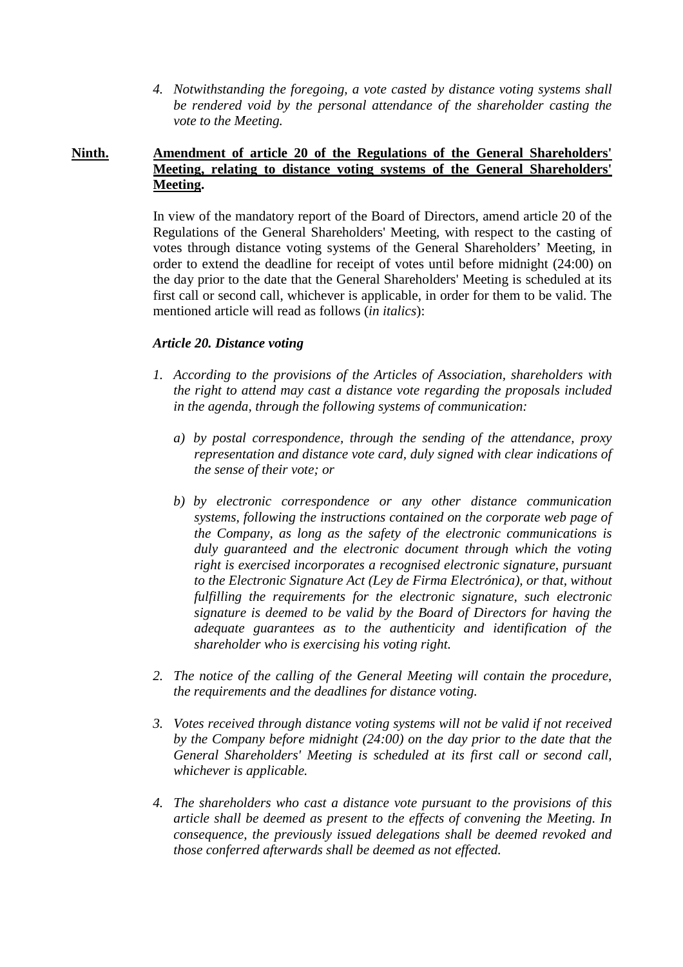*4. Notwithstanding the foregoing, a vote casted by distance voting systems shall be rendered void by the personal attendance of the shareholder casting the vote to the Meeting.* 

# **Ninth. Amendment of article 20 of the Regulations of the General Shareholders' Meeting, relating to distance voting systems of the General Shareholders' Meeting.**

In view of the mandatory report of the Board of Directors, amend article 20 of the Regulations of the General Shareholders' Meeting, with respect to the casting of votes through distance voting systems of the General Shareholders' Meeting, in order to extend the deadline for receipt of votes until before midnight (24:00) on the day prior to the date that the General Shareholders' Meeting is scheduled at its first call or second call, whichever is applicable, in order for them to be valid. The mentioned article will read as follows (*in italics*):

# *Article 20. Distance voting*

- *1. According to the provisions of the Articles of Association, shareholders with the right to attend may cast a distance vote regarding the proposals included in the agenda, through the following systems of communication:* 
	- *a) by postal correspondence, through the sending of the attendance, proxy representation and distance vote card, duly signed with clear indications of the sense of their vote; or*
	- *b) by electronic correspondence or any other distance communication systems, following the instructions contained on the corporate web page of the Company, as long as the safety of the electronic communications is duly guaranteed and the electronic document through which the voting right is exercised incorporates a recognised electronic signature, pursuant to the Electronic Signature Act (Ley de Firma Electrónica), or that, without fulfilling the requirements for the electronic signature, such electronic signature is deemed to be valid by the Board of Directors for having the adequate guarantees as to the authenticity and identification of the shareholder who is exercising his voting right.*
- *2. The notice of the calling of the General Meeting will contain the procedure, the requirements and the deadlines for distance voting.*
- *3. Votes received through distance voting systems will not be valid if not received by the Company before midnight (24:00) on the day prior to the date that the General Shareholders' Meeting is scheduled at its first call or second call, whichever is applicable.*
- *4. The shareholders who cast a distance vote pursuant to the provisions of this article shall be deemed as present to the effects of convening the Meeting. In consequence, the previously issued delegations shall be deemed revoked and those conferred afterwards shall be deemed as not effected.*